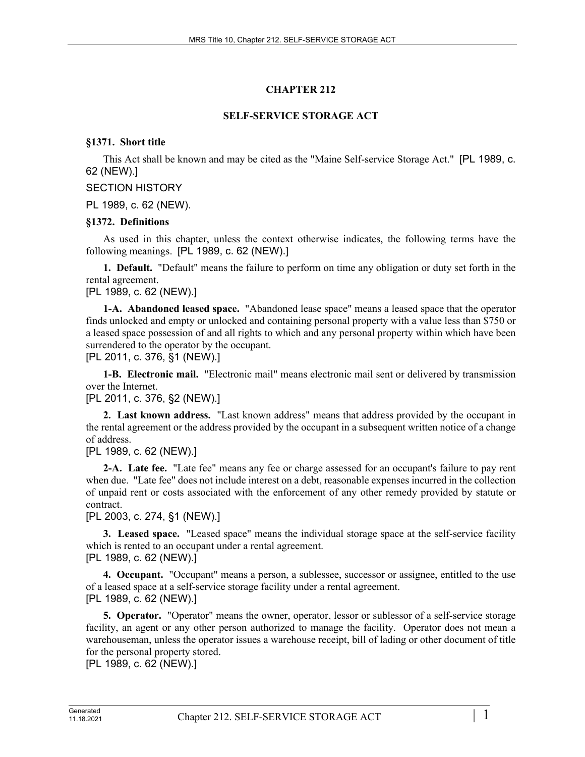# **CHAPTER 212**

## **SELF-SERVICE STORAGE ACT**

### **§1371. Short title**

This Act shall be known and may be cited as the "Maine Self-service Storage Act." [PL 1989, c. 62 (NEW).]

### SECTION HISTORY

PL 1989, c. 62 (NEW).

### **§1372. Definitions**

As used in this chapter, unless the context otherwise indicates, the following terms have the following meanings. [PL 1989, c. 62 (NEW).]

**1. Default.** "Default" means the failure to perform on time any obligation or duty set forth in the rental agreement.

[PL 1989, c. 62 (NEW).]

**1-A. Abandoned leased space.** "Abandoned lease space" means a leased space that the operator finds unlocked and empty or unlocked and containing personal property with a value less than \$750 or a leased space possession of and all rights to which and any personal property within which have been surrendered to the operator by the occupant.

[PL 2011, c. 376, §1 (NEW).]

**1-B. Electronic mail.** "Electronic mail" means electronic mail sent or delivered by transmission over the Internet.

[PL 2011, c. 376, §2 (NEW).]

**2. Last known address.** "Last known address" means that address provided by the occupant in the rental agreement or the address provided by the occupant in a subsequent written notice of a change of address.

[PL 1989, c. 62 (NEW).]

**2-A. Late fee.** "Late fee" means any fee or charge assessed for an occupant's failure to pay rent when due. "Late fee" does not include interest on a debt, reasonable expenses incurred in the collection of unpaid rent or costs associated with the enforcement of any other remedy provided by statute or contract.

[PL 2003, c. 274, §1 (NEW).]

**3. Leased space.** "Leased space" means the individual storage space at the self-service facility which is rented to an occupant under a rental agreement. [PL 1989, c. 62 (NEW).]

**4. Occupant.** "Occupant" means a person, a sublessee, successor or assignee, entitled to the use of a leased space at a self-service storage facility under a rental agreement. [PL 1989, c. 62 (NEW).]

**5. Operator.** "Operator" means the owner, operator, lessor or sublessor of a self-service storage facility, an agent or any other person authorized to manage the facility. Operator does not mean a warehouseman, unless the operator issues a warehouse receipt, bill of lading or other document of title for the personal property stored.

[PL 1989, c. 62 (NEW).]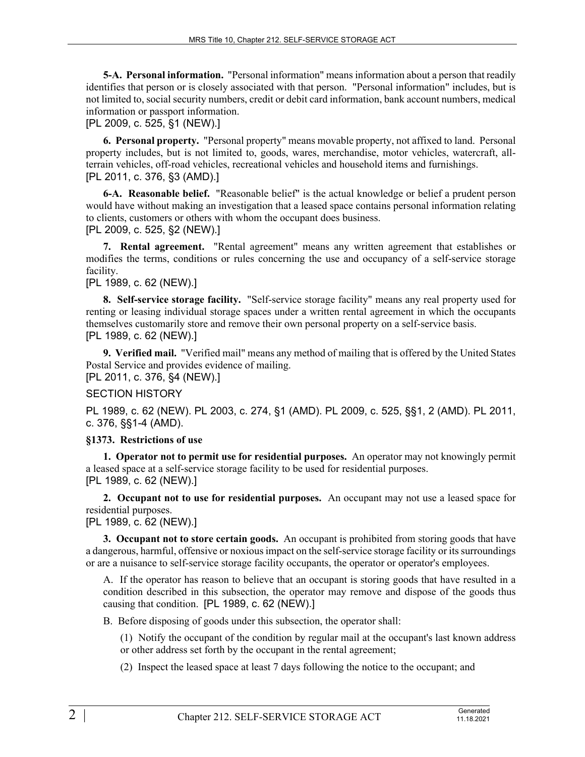**5-A. Personal information.** "Personal information" means information about a person that readily identifies that person or is closely associated with that person. "Personal information" includes, but is not limited to, social security numbers, credit or debit card information, bank account numbers, medical information or passport information.

#### [PL 2009, c. 525, §1 (NEW).]

**6. Personal property.** "Personal property" means movable property, not affixed to land. Personal property includes, but is not limited to, goods, wares, merchandise, motor vehicles, watercraft, allterrain vehicles, off-road vehicles, recreational vehicles and household items and furnishings. [PL 2011, c. 376, §3 (AMD).]

**6-A. Reasonable belief.** "Reasonable belief" is the actual knowledge or belief a prudent person would have without making an investigation that a leased space contains personal information relating to clients, customers or others with whom the occupant does business. [PL 2009, c. 525, §2 (NEW).]

**7. Rental agreement.** "Rental agreement" means any written agreement that establishes or modifies the terms, conditions or rules concerning the use and occupancy of a self-service storage facility.

## [PL 1989, c. 62 (NEW).]

**8. Self-service storage facility.** "Self-service storage facility" means any real property used for renting or leasing individual storage spaces under a written rental agreement in which the occupants themselves customarily store and remove their own personal property on a self-service basis. [PL 1989, c. 62 (NEW).]

**9. Verified mail.** "Verified mail" means any method of mailing that is offered by the United States Postal Service and provides evidence of mailing.

[PL 2011, c. 376, §4 (NEW).]

#### SECTION HISTORY

PL 1989, c. 62 (NEW). PL 2003, c. 274, §1 (AMD). PL 2009, c. 525, §§1, 2 (AMD). PL 2011, c. 376, §§1-4 (AMD).

#### **§1373. Restrictions of use**

**1. Operator not to permit use for residential purposes.** An operator may not knowingly permit a leased space at a self-service storage facility to be used for residential purposes. [PL 1989, c. 62 (NEW).]

**2. Occupant not to use for residential purposes.** An occupant may not use a leased space for residential purposes.

[PL 1989, c. 62 (NEW).]

**3. Occupant not to store certain goods.** An occupant is prohibited from storing goods that have a dangerous, harmful, offensive or noxious impact on the self-service storage facility or its surroundings or are a nuisance to self-service storage facility occupants, the operator or operator's employees.

A. If the operator has reason to believe that an occupant is storing goods that have resulted in a condition described in this subsection, the operator may remove and dispose of the goods thus causing that condition. [PL 1989, c. 62 (NEW).]

B. Before disposing of goods under this subsection, the operator shall:

(1) Notify the occupant of the condition by regular mail at the occupant's last known address or other address set forth by the occupant in the rental agreement;

(2) Inspect the leased space at least 7 days following the notice to the occupant; and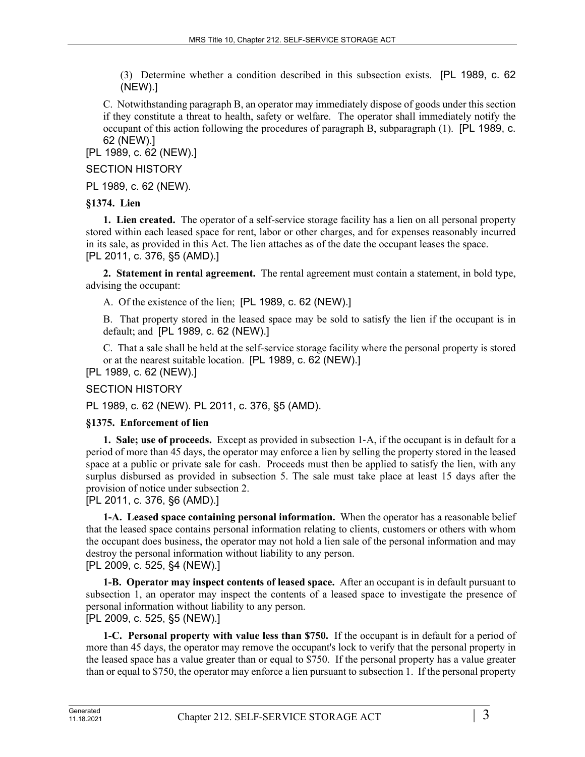(3) Determine whether a condition described in this subsection exists. [PL 1989, c. 62 (NEW).]

C. Notwithstanding paragraph B, an operator may immediately dispose of goods under this section if they constitute a threat to health, safety or welfare. The operator shall immediately notify the occupant of this action following the procedures of paragraph B, subparagraph (1). [PL 1989, c. 62 (NEW).]

[PL 1989, c. 62 (NEW).]

SECTION HISTORY

PL 1989, c. 62 (NEW).

## **§1374. Lien**

**1. Lien created.** The operator of a self-service storage facility has a lien on all personal property stored within each leased space for rent, labor or other charges, and for expenses reasonably incurred in its sale, as provided in this Act. The lien attaches as of the date the occupant leases the space. [PL 2011, c. 376, §5 (AMD).]

**2. Statement in rental agreement.** The rental agreement must contain a statement, in bold type, advising the occupant:

A. Of the existence of the lien; [PL 1989, c. 62 (NEW).]

B. That property stored in the leased space may be sold to satisfy the lien if the occupant is in default; and [PL 1989, c. 62 (NEW).]

C. That a sale shall be held at the self-service storage facility where the personal property is stored or at the nearest suitable location. [PL 1989, c. 62 (NEW).]

[PL 1989, c. 62 (NEW).]

## SECTION HISTORY

PL 1989, c. 62 (NEW). PL 2011, c. 376, §5 (AMD).

#### **§1375. Enforcement of lien**

**1. Sale; use of proceeds.** Except as provided in subsection 1‑A, if the occupant is in default for a period of more than 45 days, the operator may enforce a lien by selling the property stored in the leased space at a public or private sale for cash. Proceeds must then be applied to satisfy the lien, with any surplus disbursed as provided in subsection 5. The sale must take place at least 15 days after the provision of notice under subsection 2.

[PL 2011, c. 376, §6 (AMD).]

**1-A. Leased space containing personal information.** When the operator has a reasonable belief that the leased space contains personal information relating to clients, customers or others with whom the occupant does business, the operator may not hold a lien sale of the personal information and may destroy the personal information without liability to any person. [PL 2009, c. 525, §4 (NEW).]

**1-B. Operator may inspect contents of leased space.** After an occupant is in default pursuant to subsection 1, an operator may inspect the contents of a leased space to investigate the presence of personal information without liability to any person.

[PL 2009, c. 525, §5 (NEW).]

**1-C. Personal property with value less than \$750.** If the occupant is in default for a period of more than 45 days, the operator may remove the occupant's lock to verify that the personal property in the leased space has a value greater than or equal to \$750. If the personal property has a value greater than or equal to \$750, the operator may enforce a lien pursuant to subsection 1. If the personal property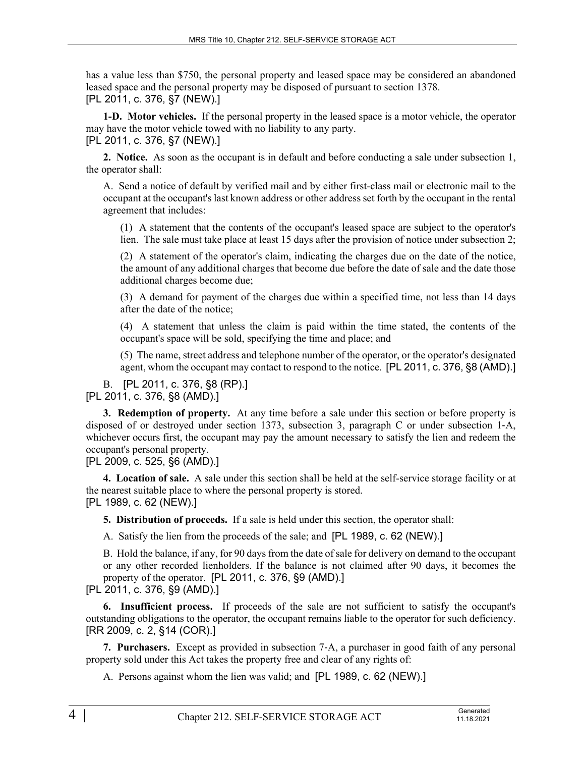has a value less than \$750, the personal property and leased space may be considered an abandoned leased space and the personal property may be disposed of pursuant to section 1378. [PL 2011, c. 376, §7 (NEW).]

**1-D. Motor vehicles.** If the personal property in the leased space is a motor vehicle, the operator may have the motor vehicle towed with no liability to any party.

[PL 2011, c. 376, §7 (NEW).]

**2. Notice.** As soon as the occupant is in default and before conducting a sale under subsection 1, the operator shall:

A. Send a notice of default by verified mail and by either first-class mail or electronic mail to the occupant at the occupant's last known address or other address set forth by the occupant in the rental agreement that includes:

(1) A statement that the contents of the occupant's leased space are subject to the operator's lien. The sale must take place at least 15 days after the provision of notice under subsection 2;

(2) A statement of the operator's claim, indicating the charges due on the date of the notice, the amount of any additional charges that become due before the date of sale and the date those additional charges become due;

(3) A demand for payment of the charges due within a specified time, not less than 14 days after the date of the notice;

(4) A statement that unless the claim is paid within the time stated, the contents of the occupant's space will be sold, specifying the time and place; and

(5) The name, street address and telephone number of the operator, or the operator's designated agent, whom the occupant may contact to respond to the notice. [PL 2011, c. 376, §8 (AMD).]

B. [PL 2011, c. 376, §8 (RP).] [PL 2011, c. 376, §8 (AMD).]

**3. Redemption of property.** At any time before a sale under this section or before property is disposed of or destroyed under section 1373, subsection 3, paragraph C or under subsection 1‑A, whichever occurs first, the occupant may pay the amount necessary to satisfy the lien and redeem the occupant's personal property.

[PL 2009, c. 525, §6 (AMD).]

**4. Location of sale.** A sale under this section shall be held at the self-service storage facility or at the nearest suitable place to where the personal property is stored. [PL 1989, c. 62 (NEW).]

**5. Distribution of proceeds.** If a sale is held under this section, the operator shall:

A. Satisfy the lien from the proceeds of the sale; and [PL 1989, c. 62 (NEW).]

B. Hold the balance, if any, for 90 days from the date of sale for delivery on demand to the occupant or any other recorded lienholders. If the balance is not claimed after 90 days, it becomes the property of the operator. [PL 2011, c. 376, §9 (AMD).] [PL 2011, c. 376, §9 (AMD).]

**6. Insufficient process.** If proceeds of the sale are not sufficient to satisfy the occupant's outstanding obligations to the operator, the occupant remains liable to the operator for such deficiency. [RR 2009, c. 2, §14 (COR).]

**7. Purchasers.** Except as provided in subsection 7‑A, a purchaser in good faith of any personal property sold under this Act takes the property free and clear of any rights of:

A. Persons against whom the lien was valid; and [PL 1989, c. 62 (NEW).]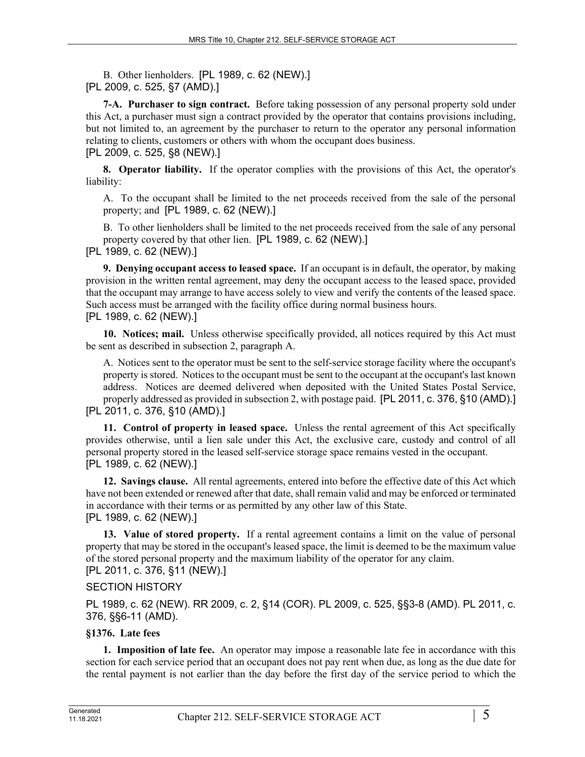B. Other lienholders. [PL 1989, c. 62 (NEW).] [PL 2009, c. 525, §7 (AMD).]

**7-A. Purchaser to sign contract.** Before taking possession of any personal property sold under this Act, a purchaser must sign a contract provided by the operator that contains provisions including, but not limited to, an agreement by the purchaser to return to the operator any personal information relating to clients, customers or others with whom the occupant does business. [PL 2009, c. 525, §8 (NEW).]

**8. Operator liability.** If the operator complies with the provisions of this Act, the operator's liability:

A. To the occupant shall be limited to the net proceeds received from the sale of the personal property; and [PL 1989, c. 62 (NEW).]

B. To other lienholders shall be limited to the net proceeds received from the sale of any personal property covered by that other lien. [PL 1989, c. 62 (NEW).]

[PL 1989, c. 62 (NEW).]

**9. Denying occupant access to leased space.** If an occupant is in default, the operator, by making provision in the written rental agreement, may deny the occupant access to the leased space, provided that the occupant may arrange to have access solely to view and verify the contents of the leased space. Such access must be arranged with the facility office during normal business hours. [PL 1989, c. 62 (NEW).]

**10. Notices; mail.** Unless otherwise specifically provided, all notices required by this Act must be sent as described in subsection 2, paragraph A.

A. Notices sent to the operator must be sent to the self-service storage facility where the occupant's property is stored. Notices to the occupant must be sent to the occupant at the occupant's last known address. Notices are deemed delivered when deposited with the United States Postal Service, properly addressed as provided in subsection 2, with postage paid. [PL 2011, c. 376, §10 (AMD).] [PL 2011, c. 376, §10 (AMD).]

**11. Control of property in leased space.** Unless the rental agreement of this Act specifically provides otherwise, until a lien sale under this Act, the exclusive care, custody and control of all personal property stored in the leased self-service storage space remains vested in the occupant. [PL 1989, c. 62 (NEW).]

**12. Savings clause.** All rental agreements, entered into before the effective date of this Act which have not been extended or renewed after that date, shall remain valid and may be enforced or terminated in accordance with their terms or as permitted by any other law of this State. [PL 1989, c. 62 (NEW).]

**13. Value of stored property.** If a rental agreement contains a limit on the value of personal property that may be stored in the occupant's leased space, the limit is deemed to be the maximum value of the stored personal property and the maximum liability of the operator for any claim. [PL 2011, c. 376, §11 (NEW).]

SECTION HISTORY

PL 1989, c. 62 (NEW). RR 2009, c. 2, §14 (COR). PL 2009, c. 525, §§3-8 (AMD). PL 2011, c. 376, §§6-11 (AMD).

## **§1376. Late fees**

**1. Imposition of late fee.** An operator may impose a reasonable late fee in accordance with this section for each service period that an occupant does not pay rent when due, as long as the due date for the rental payment is not earlier than the day before the first day of the service period to which the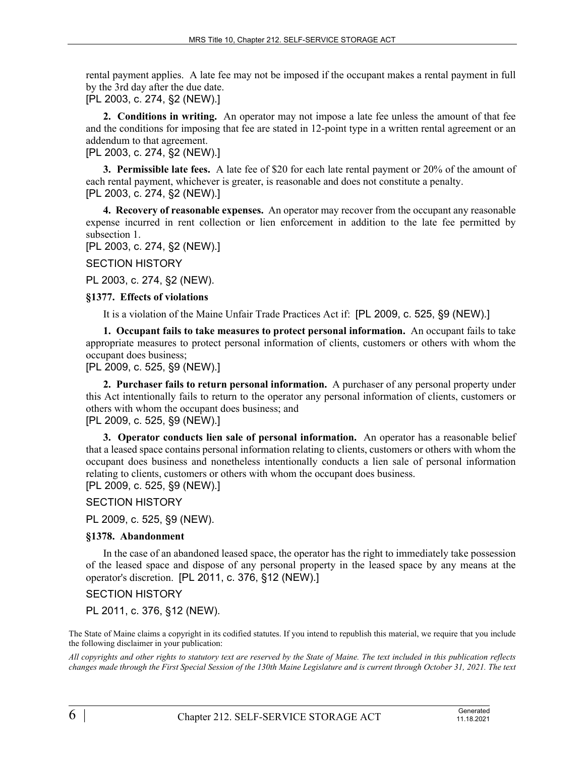rental payment applies. A late fee may not be imposed if the occupant makes a rental payment in full by the 3rd day after the due date.

[PL 2003, c. 274, §2 (NEW).]

**2. Conditions in writing.** An operator may not impose a late fee unless the amount of that fee and the conditions for imposing that fee are stated in 12-point type in a written rental agreement or an addendum to that agreement.

[PL 2003, c. 274, §2 (NEW).]

**3. Permissible late fees.** A late fee of \$20 for each late rental payment or 20% of the amount of each rental payment, whichever is greater, is reasonable and does not constitute a penalty. [PL 2003, c. 274, §2 (NEW).]

**4. Recovery of reasonable expenses.** An operator may recover from the occupant any reasonable expense incurred in rent collection or lien enforcement in addition to the late fee permitted by subsection 1.

[PL 2003, c. 274, §2 (NEW).]

SECTION HISTORY

PL 2003, c. 274, §2 (NEW).

#### **§1377. Effects of violations**

It is a violation of the Maine Unfair Trade Practices Act if: [PL 2009, c. 525, §9 (NEW).]

**1. Occupant fails to take measures to protect personal information.** An occupant fails to take appropriate measures to protect personal information of clients, customers or others with whom the occupant does business;

[PL 2009, c. 525, §9 (NEW).]

**2. Purchaser fails to return personal information.** A purchaser of any personal property under this Act intentionally fails to return to the operator any personal information of clients, customers or others with whom the occupant does business; and [PL 2009, c. 525, §9 (NEW).]

**3. Operator conducts lien sale of personal information.** An operator has a reasonable belief that a leased space contains personal information relating to clients, customers or others with whom the occupant does business and nonetheless intentionally conducts a lien sale of personal information relating to clients, customers or others with whom the occupant does business. [PL 2009, c. 525, §9 (NEW).]

SECTION HISTORY

PL 2009, c. 525, §9 (NEW).

#### **§1378. Abandonment**

In the case of an abandoned leased space, the operator has the right to immediately take possession of the leased space and dispose of any personal property in the leased space by any means at the operator's discretion. [PL 2011, c. 376, §12 (NEW).]

SECTION HISTORY

PL 2011, c. 376, §12 (NEW).

The State of Maine claims a copyright in its codified statutes. If you intend to republish this material, we require that you include the following disclaimer in your publication:

*All copyrights and other rights to statutory text are reserved by the State of Maine. The text included in this publication reflects changes made through the First Special Session of the 130th Maine Legislature and is current through October 31, 2021. The text*